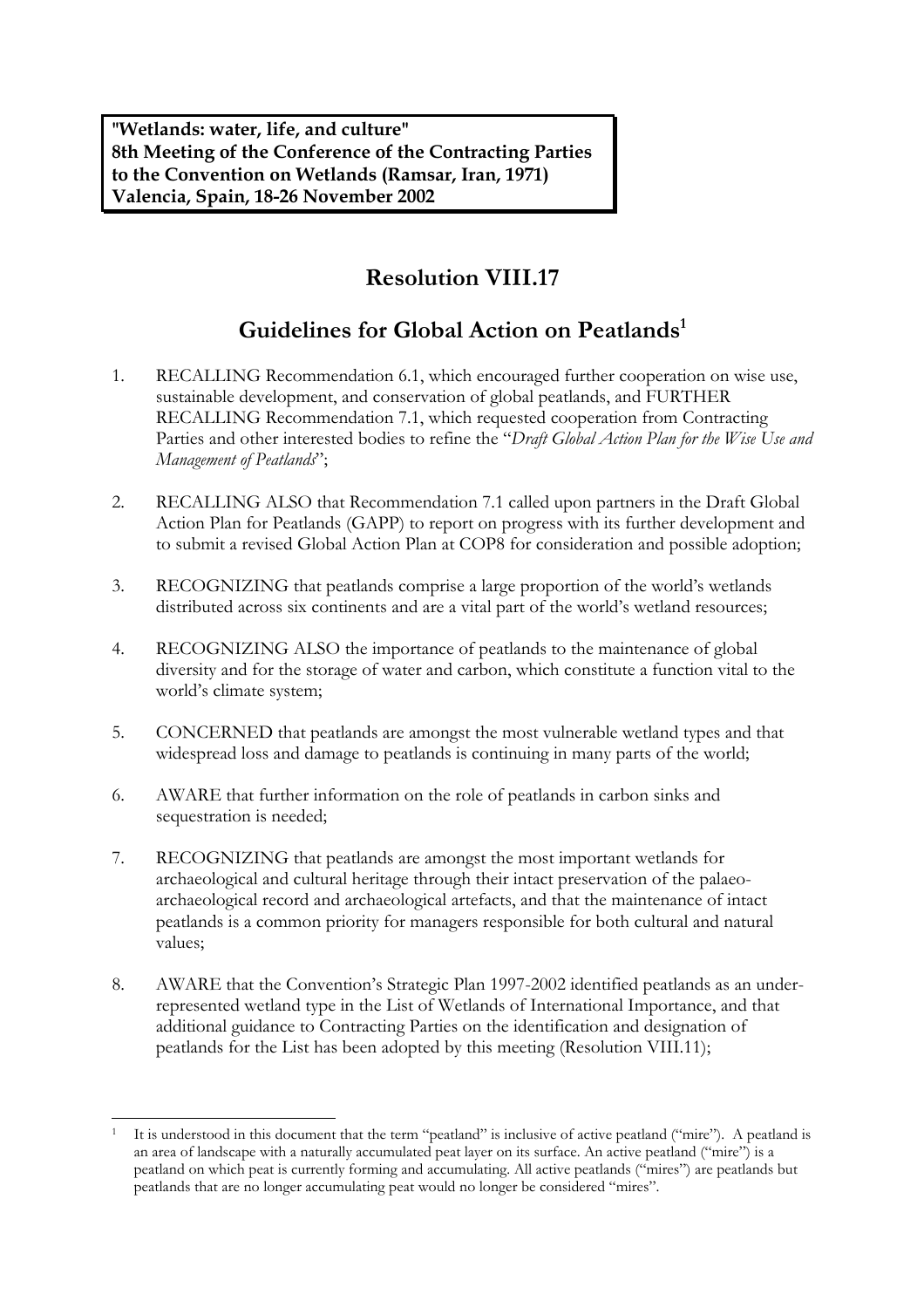**"Wetlands: water, life, and culture" 8th Meeting of the Conference of the Contracting Parties to the Convention on Wetlands (Ramsar, Iran, 1971) Valencia, Spain, 18-26 November 2002**

# **Resolution VIII.17**

# **Guidelines for Global Action on Peatlands1**

- 1. RECALLING Recommendation 6.1, which encouraged further cooperation on wise use, sustainable development, and conservation of global peatlands, and FURTHER RECALLING Recommendation 7.1, which requested cooperation from Contracting Parties and other interested bodies to refine the "*Draft Global Action Plan for the Wise Use and Management of Peatlands*";
- 2. RECALLING ALSO that Recommendation 7.1 called upon partners in the Draft Global Action Plan for Peatlands (GAPP) to report on progress with its further development and to submit a revised Global Action Plan at COP8 for consideration and possible adoption;
- 3. RECOGNIZING that peatlands comprise a large proportion of the world's wetlands distributed across six continents and are a vital part of the world's wetland resources;
- 4. RECOGNIZING ALSO the importance of peatlands to the maintenance of global diversity and for the storage of water and carbon, which constitute a function vital to the world's climate system;
- 5. CONCERNED that peatlands are amongst the most vulnerable wetland types and that widespread loss and damage to peatlands is continuing in many parts of the world;
- 6. AWARE that further information on the role of peatlands in carbon sinks and sequestration is needed;
- 7. RECOGNIZING that peatlands are amongst the most important wetlands for archaeological and cultural heritage through their intact preservation of the palaeoarchaeological record and archaeological artefacts, and that the maintenance of intact peatlands is a common priority for managers responsible for both cultural and natural values;
- 8. AWARE that the Convention's Strategic Plan 1997-2002 identified peatlands as an underrepresented wetland type in the List of Wetlands of International Importance, and that additional guidance to Contracting Parties on the identification and designation of peatlands for the List has been adopted by this meeting (Resolution VIII.11);

 $\overline{a}$ 1 It is understood in this document that the term "peatland" is inclusive of active peatland ("mire"). A peatland is an area of landscape with a naturally accumulated peat layer on its surface. An active peatland ("mire") is a peatland on which peat is currently forming and accumulating. All active peatlands ("mires") are peatlands but peatlands that are no longer accumulating peat would no longer be considered "mires".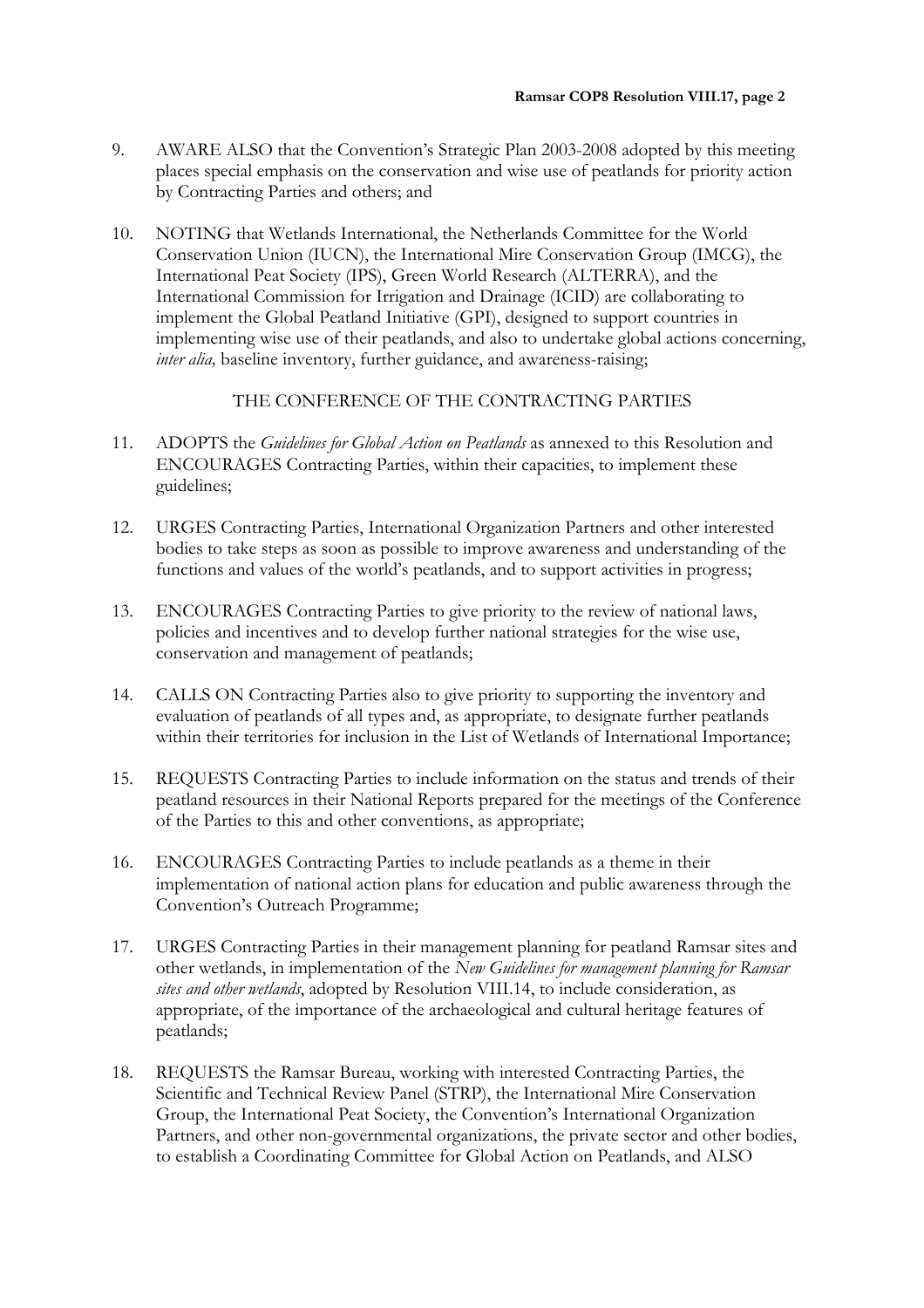- 9. AWARE ALSO that the Convention's Strategic Plan 2003-2008 adopted by this meeting places special emphasis on the conservation and wise use of peatlands for priority action by Contracting Parties and others; and
- 10. NOTING that Wetlands International, the Netherlands Committee for the World Conservation Union (IUCN), the International Mire Conservation Group (IMCG), the International Peat Society (IPS), Green World Research (ALTERRA), and the International Commission for Irrigation and Drainage (ICID) are collaborating to implement the Global Peatland Initiative (GPI), designed to support countries in implementing wise use of their peatlands, and also to undertake global actions concerning, *inter alia,* baseline inventory, further guidance, and awareness-raising;

THE CONFERENCE OF THE CONTRACTING PARTIES

- 11. ADOPTS the *Guidelines for Global Action on Peatlands* as annexed to this Resolution and ENCOURAGES Contracting Parties, within their capacities, to implement these guidelines;
- 12. URGES Contracting Parties, International Organization Partners and other interested bodies to take steps as soon as possible to improve awareness and understanding of the functions and values of the world's peatlands, and to support activities in progress;
- 13. ENCOURAGES Contracting Parties to give priority to the review of national laws, policies and incentives and to develop further national strategies for the wise use, conservation and management of peatlands;
- 14. CALLS ON Contracting Parties also to give priority to supporting the inventory and evaluation of peatlands of all types and, as appropriate, to designate further peatlands within their territories for inclusion in the List of Wetlands of International Importance;
- 15. REQUESTS Contracting Parties to include information on the status and trends of their peatland resources in their National Reports prepared for the meetings of the Conference of the Parties to this and other conventions, as appropriate;
- 16. ENCOURAGES Contracting Parties to include peatlands as a theme in their implementation of national action plans for education and public awareness through the Convention's Outreach Programme;
- 17. URGES Contracting Parties in their management planning for peatland Ramsar sites and other wetlands, in implementation of the *New Guidelines for management planning for Ramsar sites and other wetlands*, adopted by Resolution VIII.14, to include consideration, as appropriate, of the importance of the archaeological and cultural heritage features of peatlands;
- 18. REQUESTS the Ramsar Bureau, working with interested Contracting Parties, the Scientific and Technical Review Panel (STRP), the International Mire Conservation Group, the International Peat Society, the Convention's International Organization Partners, and other non-governmental organizations, the private sector and other bodies, to establish a Coordinating Committee for Global Action on Peatlands, and ALSO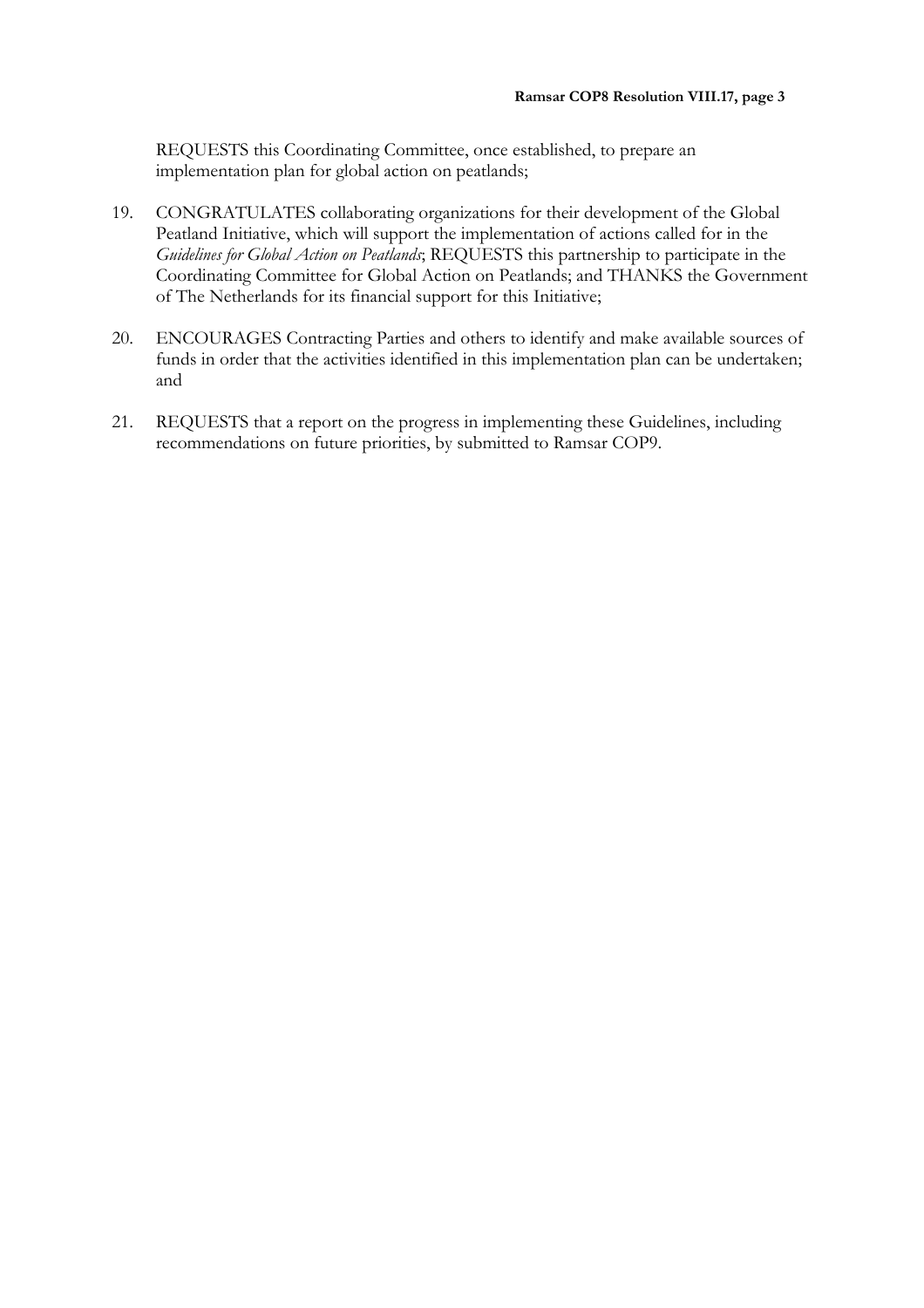REQUESTS this Coordinating Committee, once established, to prepare an implementation plan for global action on peatlands;

- 19. CONGRATULATES collaborating organizations for their development of the Global Peatland Initiative, which will support the implementation of actions called for in the *Guidelines for Global Action on Peatlands*; REQUESTS this partnership to participate in the Coordinating Committee for Global Action on Peatlands; and THANKS the Government of The Netherlands for its financial support for this Initiative;
- 20. ENCOURAGES Contracting Parties and others to identify and make available sources of funds in order that the activities identified in this implementation plan can be undertaken; and
- 21. REQUESTS that a report on the progress in implementing these Guidelines, including recommendations on future priorities, by submitted to Ramsar COP9.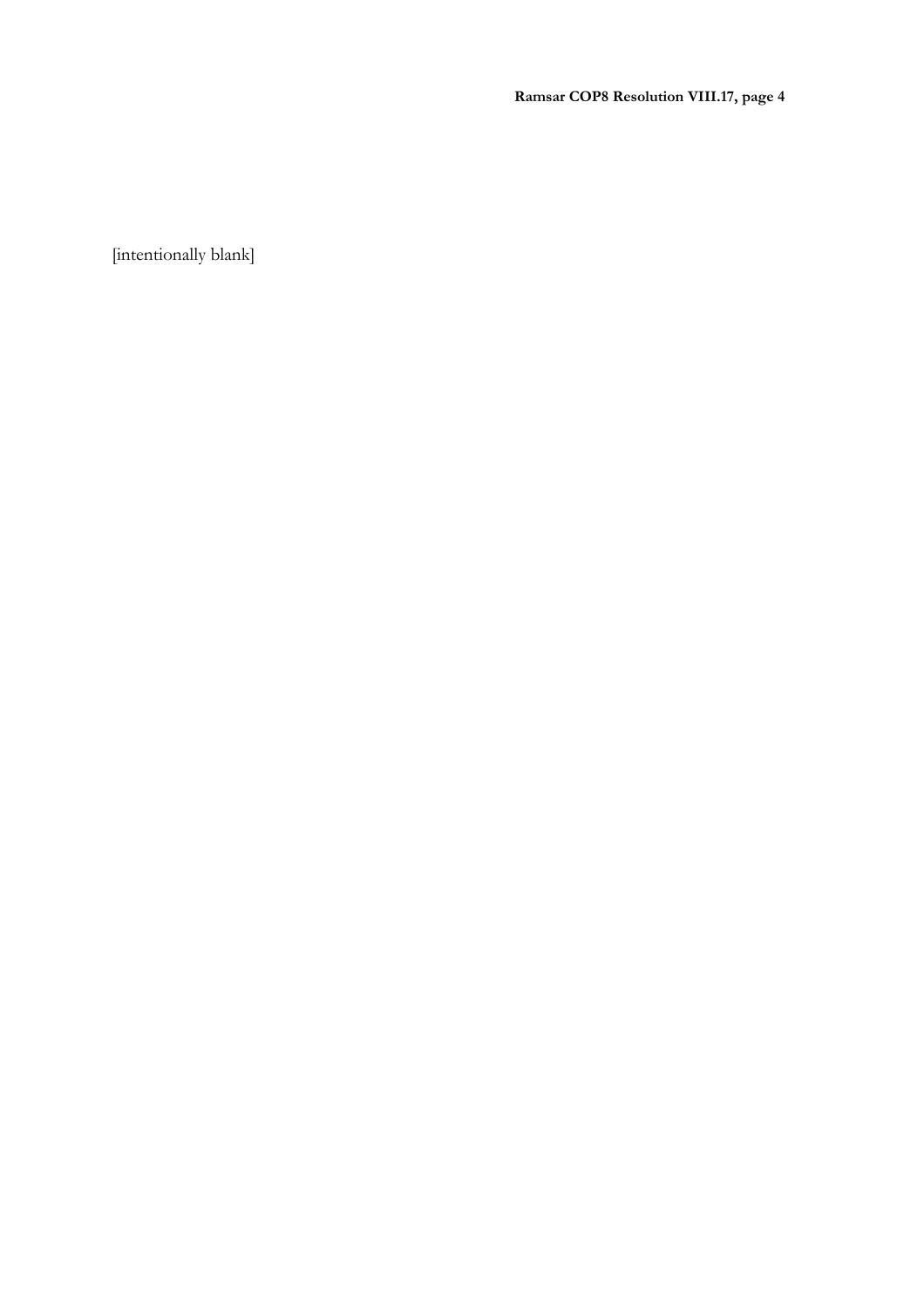**Ramsar COP8 Resolution VIII.17, page 4**

[intentionally blank]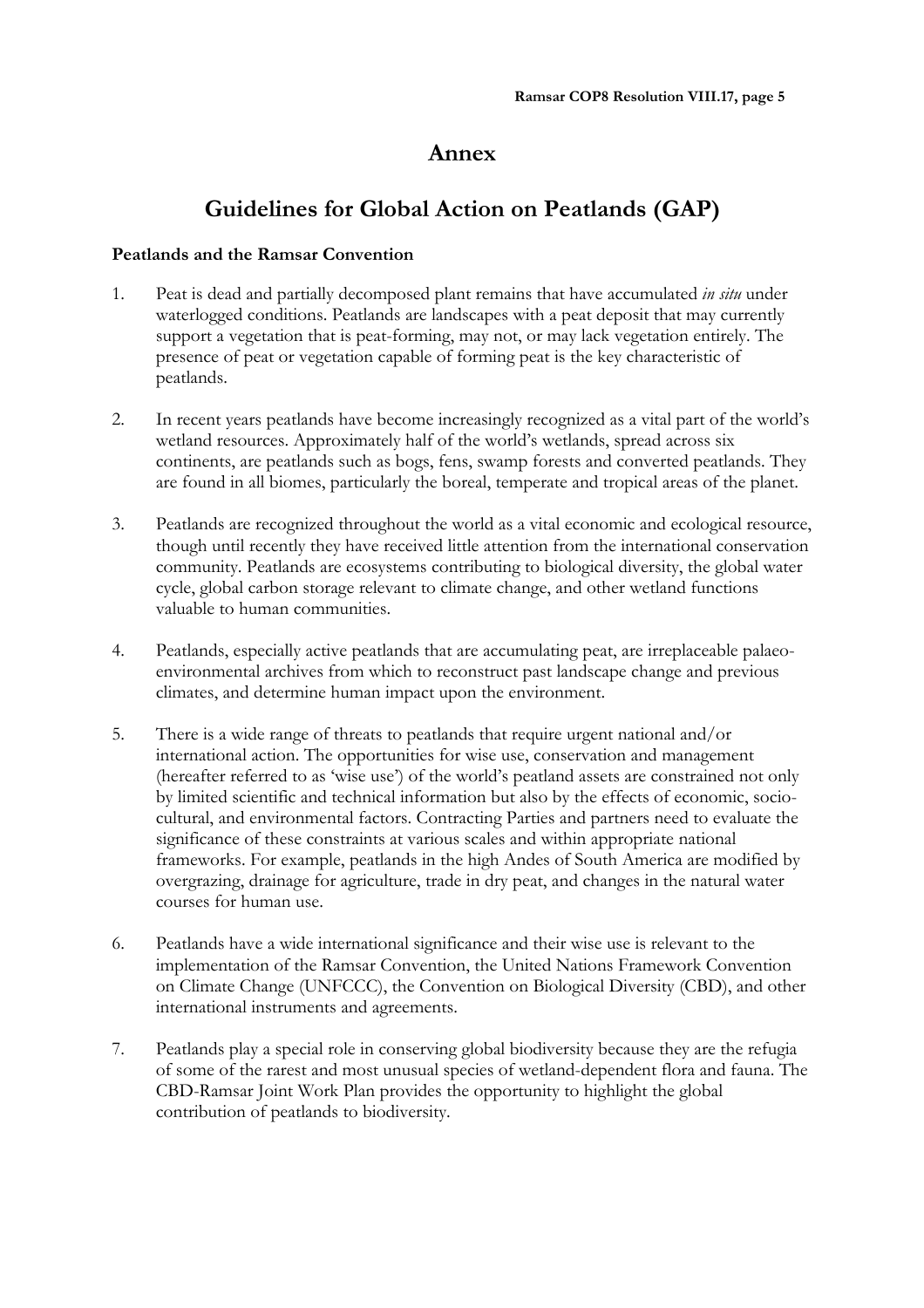## **Annex**

## **Guidelines for Global Action on Peatlands (GAP)**

#### **Peatlands and the Ramsar Convention**

- 1. Peat is dead and partially decomposed plant remains that have accumulated *in situ* under waterlogged conditions. Peatlands are landscapes with a peat deposit that may currently support a vegetation that is peat-forming, may not, or may lack vegetation entirely. The presence of peat or vegetation capable of forming peat is the key characteristic of peatlands.
- 2. In recent years peatlands have become increasingly recognized as a vital part of the world's wetland resources. Approximately half of the world's wetlands, spread across six continents, are peatlands such as bogs, fens, swamp forests and converted peatlands. They are found in all biomes, particularly the boreal, temperate and tropical areas of the planet.
- 3. Peatlands are recognized throughout the world as a vital economic and ecological resource, though until recently they have received little attention from the international conservation community. Peatlands are ecosystems contributing to biological diversity, the global water cycle, global carbon storage relevant to climate change, and other wetland functions valuable to human communities.
- 4. Peatlands, especially active peatlands that are accumulating peat, are irreplaceable palaeoenvironmental archives from which to reconstruct past landscape change and previous climates, and determine human impact upon the environment.
- 5. There is a wide range of threats to peatlands that require urgent national and/or international action. The opportunities for wise use, conservation and management (hereafter referred to as 'wise use') of the world's peatland assets are constrained not only by limited scientific and technical information but also by the effects of economic, sociocultural, and environmental factors. Contracting Parties and partners need to evaluate the significance of these constraints at various scales and within appropriate national frameworks. For example, peatlands in the high Andes of South America are modified by overgrazing, drainage for agriculture, trade in dry peat, and changes in the natural water courses for human use.
- 6. Peatlands have a wide international significance and their wise use is relevant to the implementation of the Ramsar Convention, the United Nations Framework Convention on Climate Change (UNFCCC), the Convention on Biological Diversity (CBD), and other international instruments and agreements.
- 7. Peatlands play a special role in conserving global biodiversity because they are the refugia of some of the rarest and most unusual species of wetland-dependent flora and fauna. The CBD-Ramsar Joint Work Plan provides the opportunity to highlight the global contribution of peatlands to biodiversity.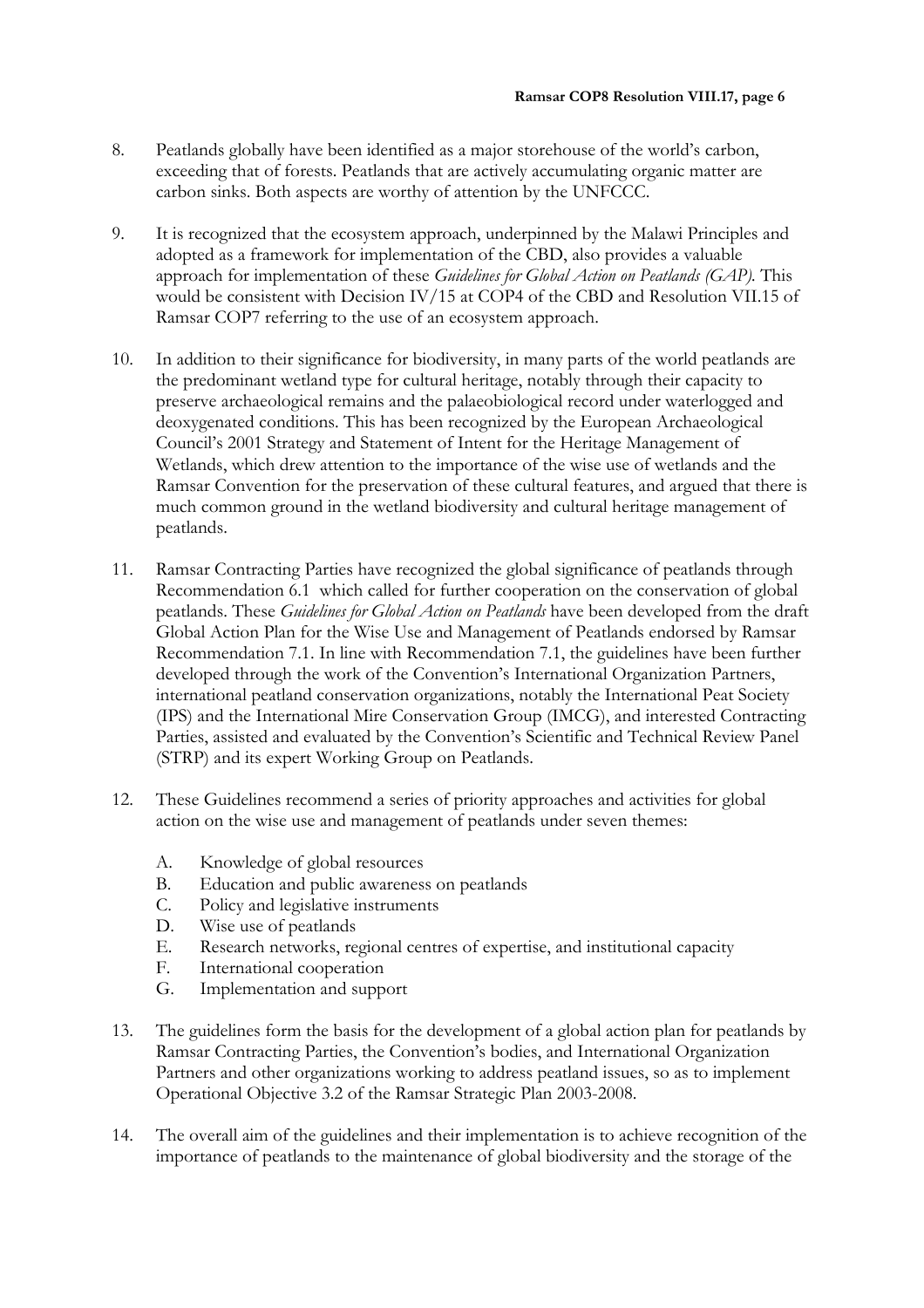- 8. Peatlands globally have been identified as a major storehouse of the world's carbon, exceeding that of forests. Peatlands that are actively accumulating organic matter are carbon sinks. Both aspects are worthy of attention by the UNFCCC.
- 9. It is recognized that the ecosystem approach, underpinned by the Malawi Principles and adopted as a framework for implementation of the CBD, also provides a valuable approach for implementation of these *Guidelines for Global Action on Peatlands (GAP).* This would be consistent with Decision IV/15 at COP4 of the CBD and Resolution VII.15 of Ramsar COP7 referring to the use of an ecosystem approach.
- 10. In addition to their significance for biodiversity, in many parts of the world peatlands are the predominant wetland type for cultural heritage, notably through their capacity to preserve archaeological remains and the palaeobiological record under waterlogged and deoxygenated conditions. This has been recognized by the European Archaeological Council's 2001 Strategy and Statement of Intent for the Heritage Management of Wetlands, which drew attention to the importance of the wise use of wetlands and the Ramsar Convention for the preservation of these cultural features, and argued that there is much common ground in the wetland biodiversity and cultural heritage management of peatlands.
- 11. Ramsar Contracting Parties have recognized the global significance of peatlands through Recommendation 6.1 which called for further cooperation on the conservation of global peatlands. These *Guidelines for Global Action on Peatlands* have been developed from the draft Global Action Plan for the Wise Use and Management of Peatlands endorsed by Ramsar Recommendation 7.1. In line with Recommendation 7.1, the guidelines have been further developed through the work of the Convention's International Organization Partners, international peatland conservation organizations, notably the International Peat Society (IPS) and the International Mire Conservation Group (IMCG), and interested Contracting Parties, assisted and evaluated by the Convention's Scientific and Technical Review Panel (STRP) and its expert Working Group on Peatlands.
- 12. These Guidelines recommend a series of priority approaches and activities for global action on the wise use and management of peatlands under seven themes:
	- A. Knowledge of global resources
	- B. Education and public awareness on peatlands
	- C. Policy and legislative instruments
	- D. Wise use of peatlands
	- E. Research networks, regional centres of expertise, and institutional capacity
	- F. International cooperation
	- G. Implementation and support
- 13. The guidelines form the basis for the development of a global action plan for peatlands by Ramsar Contracting Parties, the Convention's bodies, and International Organization Partners and other organizations working to address peatland issues, so as to implement Operational Objective 3.2 of the Ramsar Strategic Plan 2003-2008.
- 14. The overall aim of the guidelines and their implementation is to achieve recognition of the importance of peatlands to the maintenance of global biodiversity and the storage of the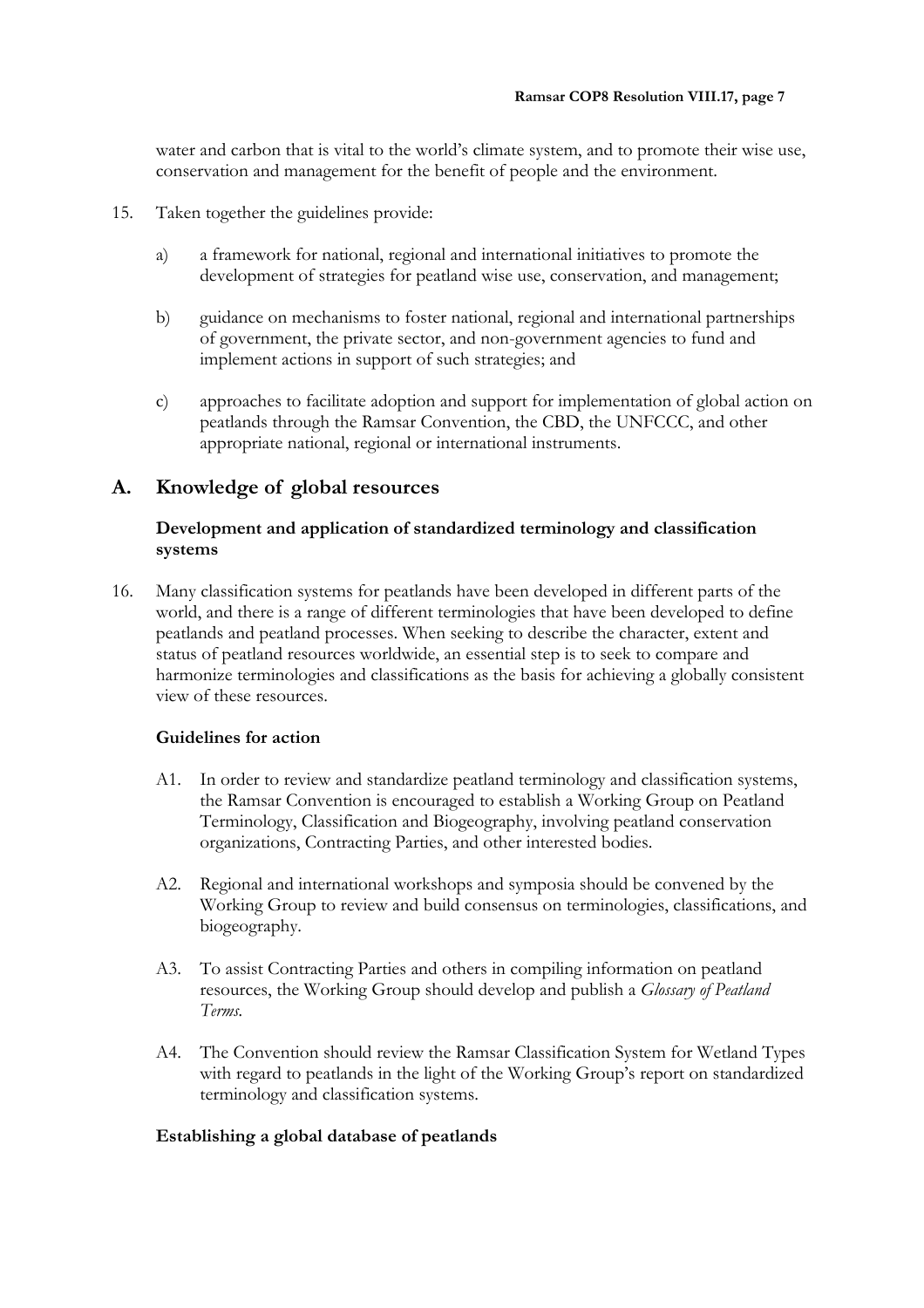water and carbon that is vital to the world's climate system, and to promote their wise use, conservation and management for the benefit of people and the environment.

- 15. Taken together the guidelines provide:
	- a) a framework for national, regional and international initiatives to promote the development of strategies for peatland wise use, conservation, and management;
	- b) guidance on mechanisms to foster national, regional and international partnerships of government, the private sector, and non-government agencies to fund and implement actions in support of such strategies; and
	- c) approaches to facilitate adoption and support for implementation of global action on peatlands through the Ramsar Convention, the CBD, the UNFCCC, and other appropriate national, regional or international instruments.

#### **A. Knowledge of global resources**

#### **Development and application of standardized terminology and classification systems**

16. Many classification systems for peatlands have been developed in different parts of the world, and there is a range of different terminologies that have been developed to define peatlands and peatland processes. When seeking to describe the character, extent and status of peatland resources worldwide, an essential step is to seek to compare and harmonize terminologies and classifications as the basis for achieving a globally consistent view of these resources.

#### **Guidelines for action**

- A1. In order to review and standardize peatland terminology and classification systems, the Ramsar Convention is encouraged to establish a Working Group on Peatland Terminology, Classification and Biogeography, involving peatland conservation organizations, Contracting Parties, and other interested bodies.
- A2. Regional and international workshops and symposia should be convened by the Working Group to review and build consensus on terminologies, classifications, and biogeography.
- A3. To assist Contracting Parties and others in compiling information on peatland resources, the Working Group should develop and publish a *Glossary of Peatland Terms.*
- A4. The Convention should review the Ramsar Classification System for Wetland Types with regard to peatlands in the light of the Working Group's report on standardized terminology and classification systems.

#### **Establishing a global database of peatlands**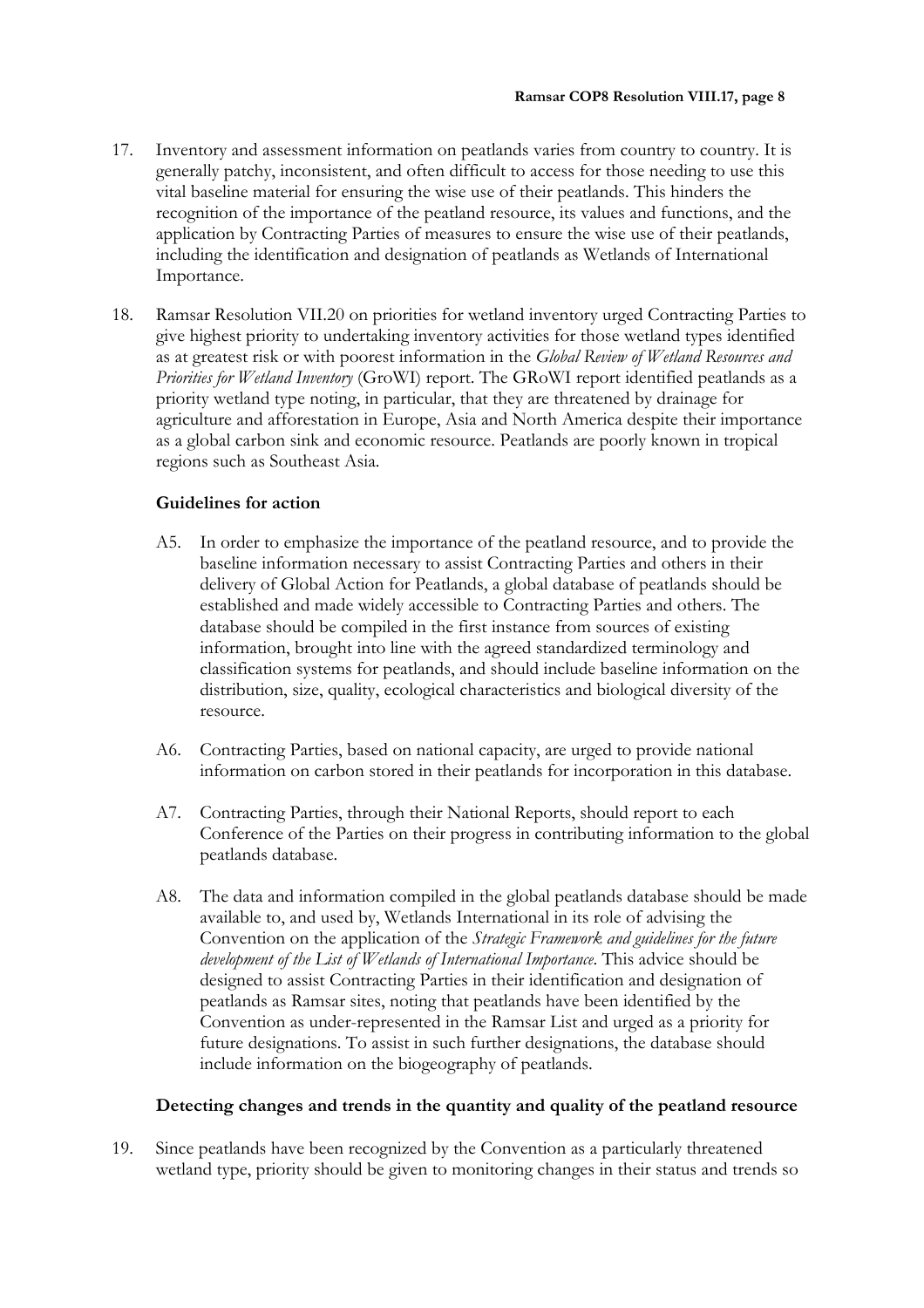- 17. Inventory and assessment information on peatlands varies from country to country. It is generally patchy, inconsistent, and often difficult to access for those needing to use this vital baseline material for ensuring the wise use of their peatlands. This hinders the recognition of the importance of the peatland resource, its values and functions, and the application by Contracting Parties of measures to ensure the wise use of their peatlands, including the identification and designation of peatlands as Wetlands of International Importance.
- 18. Ramsar Resolution VII.20 on priorities for wetland inventory urged Contracting Parties to give highest priority to undertaking inventory activities for those wetland types identified as at greatest risk or with poorest information in the *Global Review of Wetland Resources and Priorities for Wetland Inventory* (GroWI) report. The GRoWI report identified peatlands as a priority wetland type noting, in particular, that they are threatened by drainage for agriculture and afforestation in Europe, Asia and North America despite their importance as a global carbon sink and economic resource. Peatlands are poorly known in tropical regions such as Southeast Asia.

#### **Guidelines for action**

- A5. In order to emphasize the importance of the peatland resource, and to provide the baseline information necessary to assist Contracting Parties and others in their delivery of Global Action for Peatlands, a global database of peatlands should be established and made widely accessible to Contracting Parties and others. The database should be compiled in the first instance from sources of existing information, brought into line with the agreed standardized terminology and classification systems for peatlands, and should include baseline information on the distribution, size, quality, ecological characteristics and biological diversity of the resource.
- A6. Contracting Parties, based on national capacity, are urged to provide national information on carbon stored in their peatlands for incorporation in this database.
- A7. Contracting Parties, through their National Reports, should report to each Conference of the Parties on their progress in contributing information to the global peatlands database.
- A8. The data and information compiled in the global peatlands database should be made available to, and used by, Wetlands International in its role of advising the Convention on the application of the *Strategic Framework and guidelines for the future development of the List of Wetlands of International Importance*. This advice should be designed to assist Contracting Parties in their identification and designation of peatlands as Ramsar sites, noting that peatlands have been identified by the Convention as under-represented in the Ramsar List and urged as a priority for future designations. To assist in such further designations, the database should include information on the biogeography of peatlands.

#### **Detecting changes and trends in the quantity and quality of the peatland resource**

19. Since peatlands have been recognized by the Convention as a particularly threatened wetland type, priority should be given to monitoring changes in their status and trends so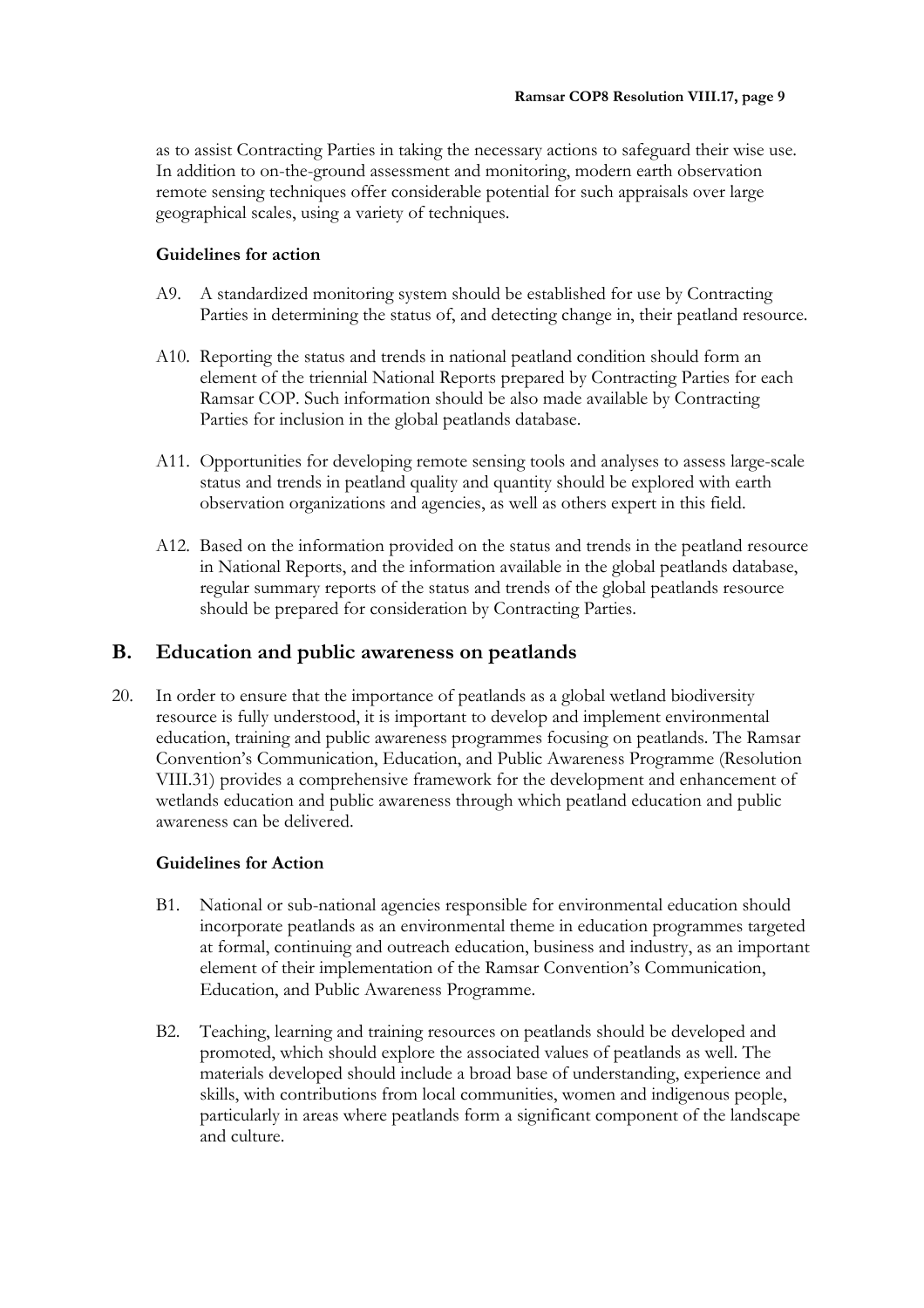as to assist Contracting Parties in taking the necessary actions to safeguard their wise use. In addition to on-the-ground assessment and monitoring, modern earth observation remote sensing techniques offer considerable potential for such appraisals over large geographical scales, using a variety of techniques.

#### **Guidelines for action**

- A9. A standardized monitoring system should be established for use by Contracting Parties in determining the status of, and detecting change in, their peatland resource.
- A10. Reporting the status and trends in national peatland condition should form an element of the triennial National Reports prepared by Contracting Parties for each Ramsar COP. Such information should be also made available by Contracting Parties for inclusion in the global peatlands database.
- A11. Opportunities for developing remote sensing tools and analyses to assess large-scale status and trends in peatland quality and quantity should be explored with earth observation organizations and agencies, as well as others expert in this field.
- A12. Based on the information provided on the status and trends in the peatland resource in National Reports, and the information available in the global peatlands database, regular summary reports of the status and trends of the global peatlands resource should be prepared for consideration by Contracting Parties.

### **B. Education and public awareness on peatlands**

20. In order to ensure that the importance of peatlands as a global wetland biodiversity resource is fully understood, it is important to develop and implement environmental education, training and public awareness programmes focusing on peatlands. The Ramsar Convention's Communication, Education, and Public Awareness Programme (Resolution VIII.31) provides a comprehensive framework for the development and enhancement of wetlands education and public awareness through which peatland education and public awareness can be delivered.

- B1. National or sub-national agencies responsible for environmental education should incorporate peatlands as an environmental theme in education programmes targeted at formal, continuing and outreach education, business and industry, as an important element of their implementation of the Ramsar Convention's Communication, Education, and Public Awareness Programme.
- B2. Teaching, learning and training resources on peatlands should be developed and promoted, which should explore the associated values of peatlands as well. The materials developed should include a broad base of understanding, experience and skills, with contributions from local communities, women and indigenous people, particularly in areas where peatlands form a significant component of the landscape and culture.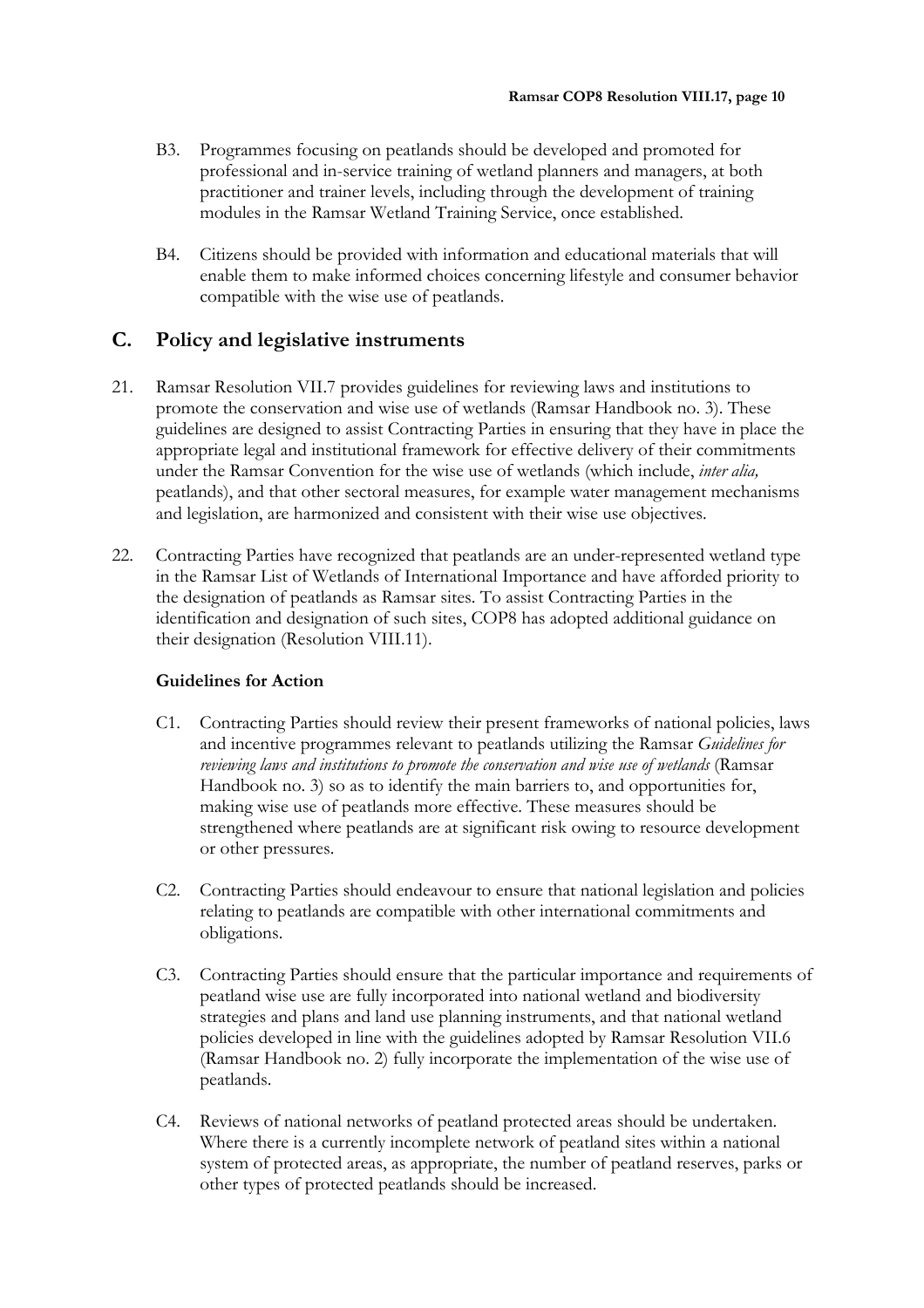- B3. Programmes focusing on peatlands should be developed and promoted for professional and in-service training of wetland planners and managers, at both practitioner and trainer levels, including through the development of training modules in the Ramsar Wetland Training Service, once established.
- B4. Citizens should be provided with information and educational materials that will enable them to make informed choices concerning lifestyle and consumer behavior compatible with the wise use of peatlands.

## **C. Policy and legislative instruments**

- 21. Ramsar Resolution VII.7 provides guidelines for reviewing laws and institutions to promote the conservation and wise use of wetlands (Ramsar Handbook no. 3). These guidelines are designed to assist Contracting Parties in ensuring that they have in place the appropriate legal and institutional framework for effective delivery of their commitments under the Ramsar Convention for the wise use of wetlands (which include, *inter alia,* peatlands), and that other sectoral measures, for example water management mechanisms and legislation, are harmonized and consistent with their wise use objectives.
- 22. Contracting Parties have recognized that peatlands are an under-represented wetland type in the Ramsar List of Wetlands of International Importance and have afforded priority to the designation of peatlands as Ramsar sites. To assist Contracting Parties in the identification and designation of such sites, COP8 has adopted additional guidance on their designation (Resolution VIII.11).

- C1. Contracting Parties should review their present frameworks of national policies, laws and incentive programmes relevant to peatlands utilizing the Ramsar *Guidelines for reviewing laws and institutions to promote the conservation and wise use of wetlands* (Ramsar Handbook no. 3) so as to identify the main barriers to, and opportunities for, making wise use of peatlands more effective. These measures should be strengthened where peatlands are at significant risk owing to resource development or other pressures.
- C2. Contracting Parties should endeavour to ensure that national legislation and policies relating to peatlands are compatible with other international commitments and obligations.
- C3. Contracting Parties should ensure that the particular importance and requirements of peatland wise use are fully incorporated into national wetland and biodiversity strategies and plans and land use planning instruments, and that national wetland policies developed in line with the guidelines adopted by Ramsar Resolution VII.6 (Ramsar Handbook no. 2) fully incorporate the implementation of the wise use of peatlands.
- C4. Reviews of national networks of peatland protected areas should be undertaken. Where there is a currently incomplete network of peatland sites within a national system of protected areas, as appropriate, the number of peatland reserves, parks or other types of protected peatlands should be increased.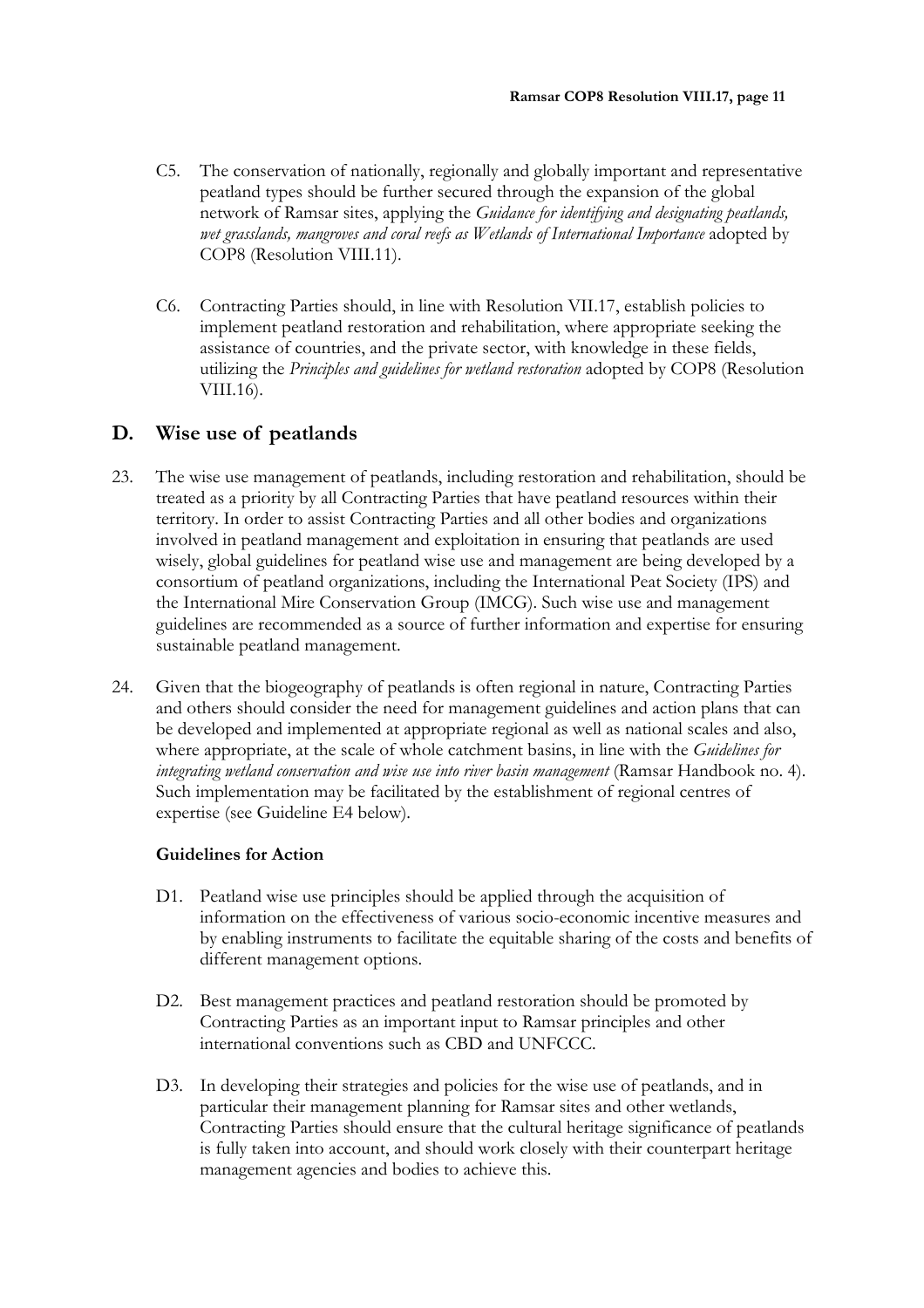- C5. The conservation of nationally, regionally and globally important and representative peatland types should be further secured through the expansion of the global network of Ramsar sites, applying the *Guidance for identifying and designating peatlands,* wet grasslands, mangroves and coral reefs as *Wetlands of International Importance* adopted by COP8 (Resolution VIII.11).
- C6. Contracting Parties should, in line with Resolution VII.17, establish policies to implement peatland restoration and rehabilitation, where appropriate seeking the assistance of countries, and the private sector, with knowledge in these fields, utilizing the *Principles and guidelines for wetland restoration* adopted by COP8 (Resolution VIII.16).

## **D. Wise use of peatlands**

- 23. The wise use management of peatlands, including restoration and rehabilitation, should be treated as a priority by all Contracting Parties that have peatland resources within their territory. In order to assist Contracting Parties and all other bodies and organizations involved in peatland management and exploitation in ensuring that peatlands are used wisely, global guidelines for peatland wise use and management are being developed by a consortium of peatland organizations, including the International Peat Society (IPS) and the International Mire Conservation Group (IMCG). Such wise use and management guidelines are recommended as a source of further information and expertise for ensuring sustainable peatland management.
- 24. Given that the biogeography of peatlands is often regional in nature, Contracting Parties and others should consider the need for management guidelines and action plans that can be developed and implemented at appropriate regional as well as national scales and also, where appropriate, at the scale of whole catchment basins, in line with the *Guidelines for integrating wetland conservation and wise use into river basin management* (Ramsar Handbook no. 4). Such implementation may be facilitated by the establishment of regional centres of expertise (see Guideline E4 below).

- D1. Peatland wise use principles should be applied through the acquisition of information on the effectiveness of various socio-economic incentive measures and by enabling instruments to facilitate the equitable sharing of the costs and benefits of different management options.
- D2. Best management practices and peatland restoration should be promoted by Contracting Parties as an important input to Ramsar principles and other international conventions such as CBD and UNFCCC.
- D3. In developing their strategies and policies for the wise use of peatlands, and in particular their management planning for Ramsar sites and other wetlands, Contracting Parties should ensure that the cultural heritage significance of peatlands is fully taken into account, and should work closely with their counterpart heritage management agencies and bodies to achieve this.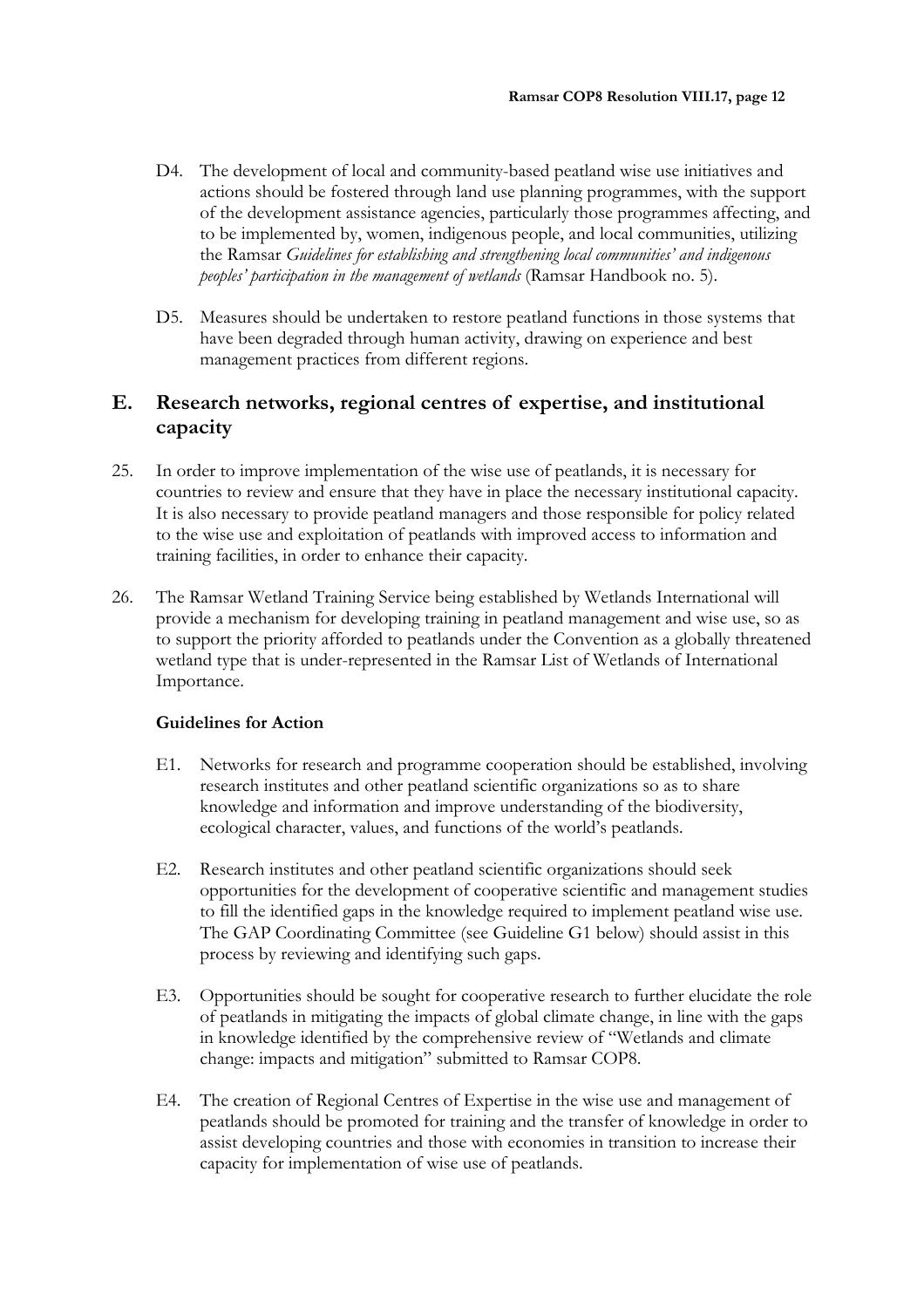- D4. The development of local and community-based peatland wise use initiatives and actions should be fostered through land use planning programmes, with the support of the development assistance agencies, particularly those programmes affecting, and to be implemented by, women, indigenous people, and local communities, utilizing the Ramsar *Guidelines for establishing and strengthening local communities' and indigenous peoples' participation in the management of wetlands* (Ramsar Handbook no. 5).
- D5. Measures should be undertaken to restore peatland functions in those systems that have been degraded through human activity, drawing on experience and best management practices from different regions.

## **E. Research networks, regional centres of expertise, and institutional capacity**

- 25. In order to improve implementation of the wise use of peatlands, it is necessary for countries to review and ensure that they have in place the necessary institutional capacity. It is also necessary to provide peatland managers and those responsible for policy related to the wise use and exploitation of peatlands with improved access to information and training facilities, in order to enhance their capacity.
- 26. The Ramsar Wetland Training Service being established by Wetlands International will provide a mechanism for developing training in peatland management and wise use, so as to support the priority afforded to peatlands under the Convention as a globally threatened wetland type that is under-represented in the Ramsar List of Wetlands of International Importance.

- E1. Networks for research and programme cooperation should be established, involving research institutes and other peatland scientific organizations so as to share knowledge and information and improve understanding of the biodiversity, ecological character, values, and functions of the world's peatlands.
- E2. Research institutes and other peatland scientific organizations should seek opportunities for the development of cooperative scientific and management studies to fill the identified gaps in the knowledge required to implement peatland wise use. The GAP Coordinating Committee (see Guideline G1 below) should assist in this process by reviewing and identifying such gaps.
- E3. Opportunities should be sought for cooperative research to further elucidate the role of peatlands in mitigating the impacts of global climate change, in line with the gaps in knowledge identified by the comprehensive review of "Wetlands and climate change: impacts and mitigation" submitted to Ramsar COP8.
- E4. The creation of Regional Centres of Expertise in the wise use and management of peatlands should be promoted for training and the transfer of knowledge in order to assist developing countries and those with economies in transition to increase their capacity for implementation of wise use of peatlands.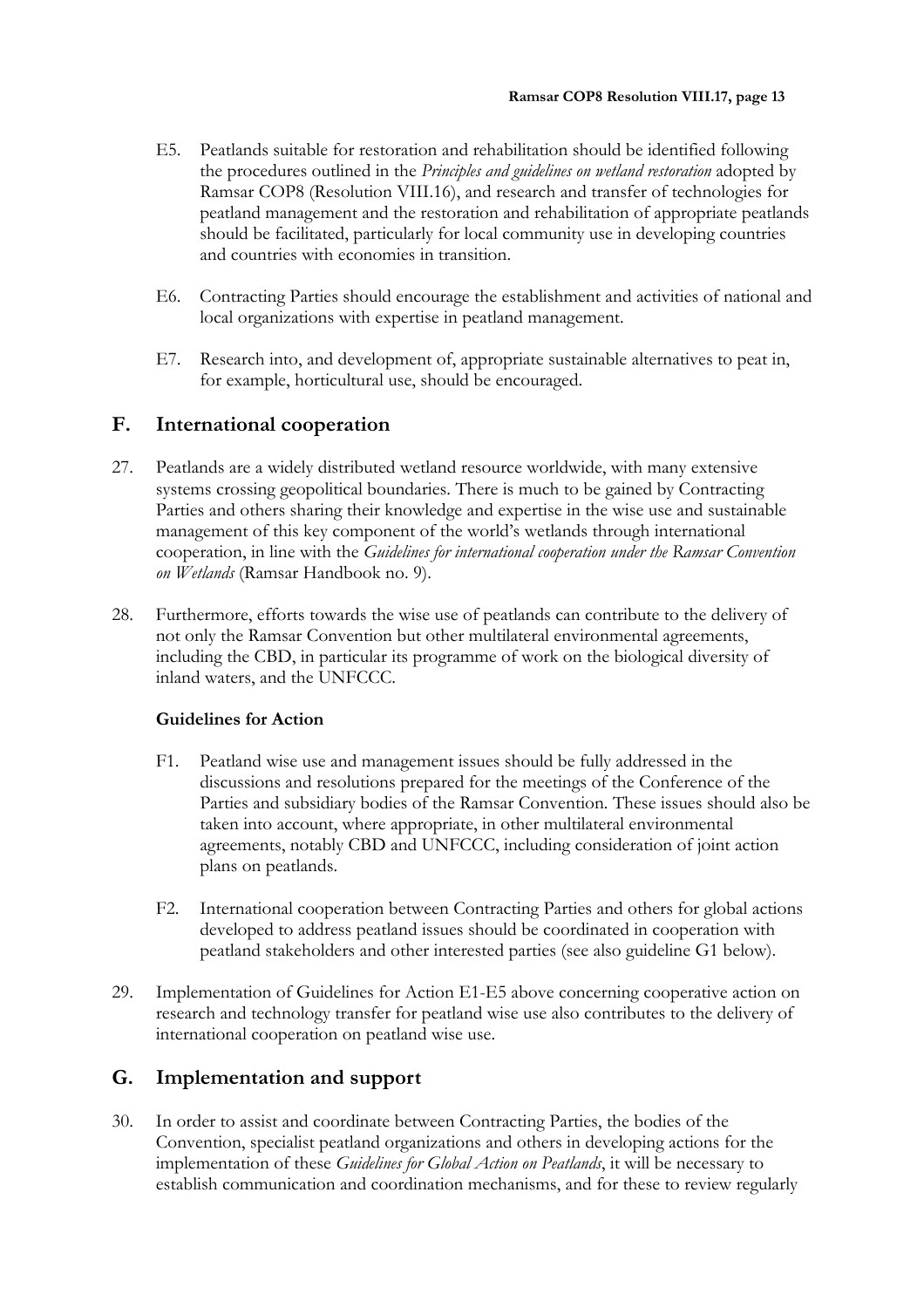- E5. Peatlands suitable for restoration and rehabilitation should be identified following the procedures outlined in the *Principles and guidelines on wetland restoration* adopted by Ramsar COP8 (Resolution VIII.16), and research and transfer of technologies for peatland management and the restoration and rehabilitation of appropriate peatlands should be facilitated, particularly for local community use in developing countries and countries with economies in transition.
- E6. Contracting Parties should encourage the establishment and activities of national and local organizations with expertise in peatland management.
- E7. Research into, and development of, appropriate sustainable alternatives to peat in, for example, horticultural use, should be encouraged.

## **F. International cooperation**

- 27. Peatlands are a widely distributed wetland resource worldwide, with many extensive systems crossing geopolitical boundaries. There is much to be gained by Contracting Parties and others sharing their knowledge and expertise in the wise use and sustainable management of this key component of the world's wetlands through international cooperation, in line with the *Guidelines for international cooperation under the Ramsar Convention on Wetlands* (Ramsar Handbook no. 9).
- 28. Furthermore, efforts towards the wise use of peatlands can contribute to the delivery of not only the Ramsar Convention but other multilateral environmental agreements, including the CBD, in particular its programme of work on the biological diversity of inland waters, and the UNFCCC.

#### **Guidelines for Action**

- F1. Peatland wise use and management issues should be fully addressed in the discussions and resolutions prepared for the meetings of the Conference of the Parties and subsidiary bodies of the Ramsar Convention. These issues should also be taken into account, where appropriate, in other multilateral environmental agreements, notably CBD and UNFCCC, including consideration of joint action plans on peatlands.
- F2. International cooperation between Contracting Parties and others for global actions developed to address peatland issues should be coordinated in cooperation with peatland stakeholders and other interested parties (see also guideline G1 below).
- 29. Implementation of Guidelines for Action E1-E5 above concerning cooperative action on research and technology transfer for peatland wise use also contributes to the delivery of international cooperation on peatland wise use.

## **G. Implementation and support**

30. In order to assist and coordinate between Contracting Parties, the bodies of the Convention, specialist peatland organizations and others in developing actions for the implementation of these *Guidelines for Global Action on Peatlands*, it will be necessary to establish communication and coordination mechanisms, and for these to review regularly